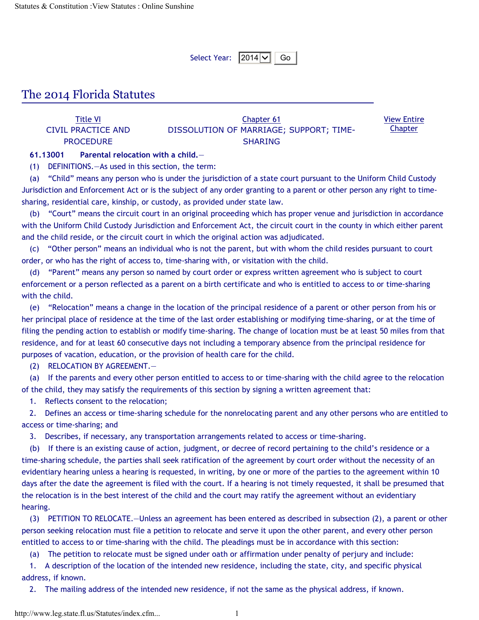Select Year:  $|2014|\vee||$  Go

## The 2014 Florida Statutes

| Title VI           | Chapter 61                              | <b>View Entire</b> |
|--------------------|-----------------------------------------|--------------------|
| CIVIL PRACTICE AND | DISSOLUTION OF MARRIAGE; SUPPORT; TIME- | <b>Chapter</b>     |
| <b>PROCEDURE</b>   | SHARING                                 |                    |

## **61.13001 Parental relocation with a child.**—

(1) DEFINITIONS.—As used in this section, the term:

(a) "Child" means any person who is under the jurisdiction of a state court pursuant to the Uniform Child Custody Jurisdiction and Enforcement Act or is the subject of any order granting to a parent or other person any right to timesharing, residential care, kinship, or custody, as provided under state law.

(b) "Court" means the circuit court in an original proceeding which has proper venue and jurisdiction in accordance with the Uniform Child Custody Jurisdiction and Enforcement Act, the circuit court in the county in which either parent and the child reside, or the circuit court in which the original action was adjudicated.

(c) "Other person" means an individual who is not the parent, but with whom the child resides pursuant to court order, or who has the right of access to, time-sharing with, or visitation with the child.

(d) "Parent" means any person so named by court order or express written agreement who is subject to court enforcement or a person reflected as a parent on a birth certificate and who is entitled to access to or time-sharing with the child.

(e) "Relocation" means a change in the location of the principal residence of a parent or other person from his or her principal place of residence at the time of the last order establishing or modifying time-sharing, or at the time of filing the pending action to establish or modify time-sharing. The change of location must be at least 50 miles from that residence, and for at least 60 consecutive days not including a temporary absence from the principal residence for purposes of vacation, education, or the provision of health care for the child.

(2) RELOCATION BY AGREEMENT.—

(a) If the parents and every other person entitled to access to or time-sharing with the child agree to the relocation of the child, they may satisfy the requirements of this section by signing a written agreement that:

1. Reflects consent to the relocation;

2. Defines an access or time-sharing schedule for the nonrelocating parent and any other persons who are entitled to access or time-sharing; and

3. Describes, if necessary, any transportation arrangements related to access or time-sharing.

(b) If there is an existing cause of action, judgment, or decree of record pertaining to the child's residence or a time-sharing schedule, the parties shall seek ratification of the agreement by court order without the necessity of an evidentiary hearing unless a hearing is requested, in writing, by one or more of the parties to the agreement within 10 days after the date the agreement is filed with the court. If a hearing is not timely requested, it shall be presumed that the relocation is in the best interest of the child and the court may ratify the agreement without an evidentiary hearing.

(3) PETITION TO RELOCATE.—Unless an agreement has been entered as described in subsection (2), a parent or other person seeking relocation must file a petition to relocate and serve it upon the other parent, and every other person entitled to access to or time-sharing with the child. The pleadings must be in accordance with this section:

(a) The petition to relocate must be signed under oath or affirmation under penalty of perjury and include:

1. A description of the location of the intended new residence, including the state, city, and specific physical address, if known.

2. The mailing address of the intended new residence, if not the same as the physical address, if known.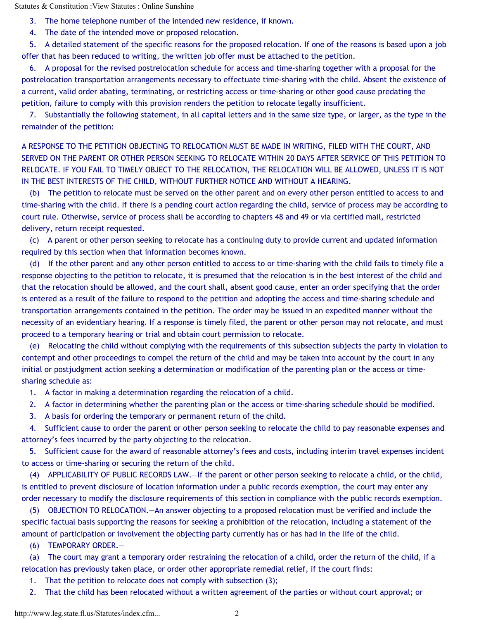Statutes & Constitution :View Statutes : Online Sunshine

3. The home telephone number of the intended new residence, if known.

4. The date of the intended move or proposed relocation.

5. A detailed statement of the specific reasons for the proposed relocation. If one of the reasons is based upon a job offer that has been reduced to writing, the written job offer must be attached to the petition.

6. A proposal for the revised postrelocation schedule for access and time-sharing together with a proposal for the postrelocation transportation arrangements necessary to effectuate time-sharing with the child. Absent the existence of a current, valid order abating, terminating, or restricting access or time-sharing or other good cause predating the petition, failure to comply with this provision renders the petition to relocate legally insufficient.

7. Substantially the following statement, in all capital letters and in the same size type, or larger, as the type in the remainder of the petition:

A RESPONSE TO THE PETITION OBJECTING TO RELOCATION MUST BE MADE IN WRITING, FILED WITH THE COURT, AND SERVED ON THE PARENT OR OTHER PERSON SEEKING TO RELOCATE WITHIN 20 DAYS AFTER SERVICE OF THIS PETITION TO RELOCATE. IF YOU FAIL TO TIMELY OBJECT TO THE RELOCATION, THE RELOCATION WILL BE ALLOWED, UNLESS IT IS NOT IN THE BEST INTERESTS OF THE CHILD, WITHOUT FURTHER NOTICE AND WITHOUT A HEARING.

(b) The petition to relocate must be served on the other parent and on every other person entitled to access to and time-sharing with the child. If there is a pending court action regarding the child, service of process may be according to court rule. Otherwise, service of process shall be according to chapters 48 and 49 or via certified mail, restricted delivery, return receipt requested.

(c) A parent or other person seeking to relocate has a continuing duty to provide current and updated information required by this section when that information becomes known.

(d) If the other parent and any other person entitled to access to or time-sharing with the child fails to timely file a response objecting to the petition to relocate, it is presumed that the relocation is in the best interest of the child and that the relocation should be allowed, and the court shall, absent good cause, enter an order specifying that the order is entered as a result of the failure to respond to the petition and adopting the access and time-sharing schedule and transportation arrangements contained in the petition. The order may be issued in an expedited manner without the necessity of an evidentiary hearing. If a response is timely filed, the parent or other person may not relocate, and must proceed to a temporary hearing or trial and obtain court permission to relocate.

(e) Relocating the child without complying with the requirements of this subsection subjects the party in violation to contempt and other proceedings to compel the return of the child and may be taken into account by the court in any initial or postjudgment action seeking a determination or modification of the parenting plan or the access or timesharing schedule as:

1. A factor in making a determination regarding the relocation of a child.

2. A factor in determining whether the parenting plan or the access or time-sharing schedule should be modified.

3. A basis for ordering the temporary or permanent return of the child.

4. Sufficient cause to order the parent or other person seeking to relocate the child to pay reasonable expenses and attorney's fees incurred by the party objecting to the relocation.

5. Sufficient cause for the award of reasonable attorney's fees and costs, including interim travel expenses incident to access or time-sharing or securing the return of the child.

(4) APPLICABILITY OF PUBLIC RECORDS LAW.—If the parent or other person seeking to relocate a child, or the child, is entitled to prevent disclosure of location information under a public records exemption, the court may enter any order necessary to modify the disclosure requirements of this section in compliance with the public records exemption.

(5) OBJECTION TO RELOCATION.—An answer objecting to a proposed relocation must be verified and include the specific factual basis supporting the reasons for seeking a prohibition of the relocation, including a statement of the amount of participation or involvement the objecting party currently has or has had in the life of the child.

(6) TEMPORARY ORDER.—

(a) The court may grant a temporary order restraining the relocation of a child, order the return of the child, if a relocation has previously taken place, or order other appropriate remedial relief, if the court finds:

1. That the petition to relocate does not comply with subsection (3);

2. That the child has been relocated without a written agreement of the parties or without court approval; or

http://www.leg.state.fl.us/Statutes/index.cfm... 2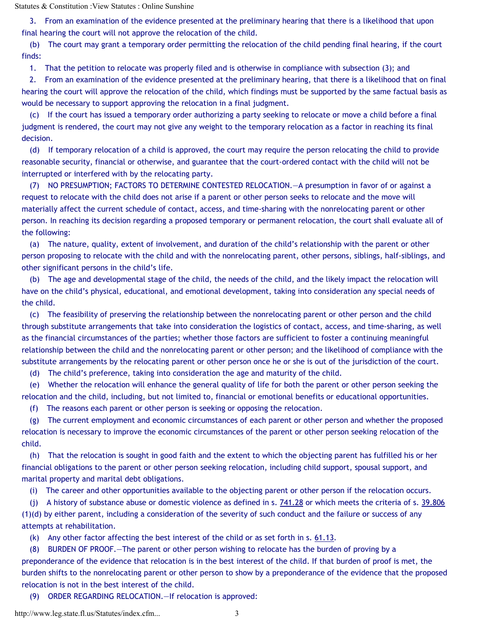Statutes & Constitution :View Statutes : Online Sunshine

3. From an examination of the evidence presented at the preliminary hearing that there is a likelihood that upon final hearing the court will not approve the relocation of the child.

(b) The court may grant a temporary order permitting the relocation of the child pending final hearing, if the court finds:

1. That the petition to relocate was properly filed and is otherwise in compliance with subsection (3); and

2. From an examination of the evidence presented at the preliminary hearing, that there is a likelihood that on final hearing the court will approve the relocation of the child, which findings must be supported by the same factual basis as would be necessary to support approving the relocation in a final judgment.

(c) If the court has issued a temporary order authorizing a party seeking to relocate or move a child before a final judgment is rendered, the court may not give any weight to the temporary relocation as a factor in reaching its final decision.

(d) If temporary relocation of a child is approved, the court may require the person relocating the child to provide reasonable security, financial or otherwise, and guarantee that the court-ordered contact with the child will not be interrupted or interfered with by the relocating party.

(7) NO PRESUMPTION; FACTORS TO DETERMINE CONTESTED RELOCATION.—A presumption in favor of or against a request to relocate with the child does not arise if a parent or other person seeks to relocate and the move will materially affect the current schedule of contact, access, and time-sharing with the nonrelocating parent or other person. In reaching its decision regarding a proposed temporary or permanent relocation, the court shall evaluate all of the following:

(a) The nature, quality, extent of involvement, and duration of the child's relationship with the parent or other person proposing to relocate with the child and with the nonrelocating parent, other persons, siblings, half-siblings, and other significant persons in the child's life.

(b) The age and developmental stage of the child, the needs of the child, and the likely impact the relocation will have on the child's physical, educational, and emotional development, taking into consideration any special needs of the child.

(c) The feasibility of preserving the relationship between the nonrelocating parent or other person and the child through substitute arrangements that take into consideration the logistics of contact, access, and time-sharing, as well as the financial circumstances of the parties; whether those factors are sufficient to foster a continuing meaningful relationship between the child and the nonrelocating parent or other person; and the likelihood of compliance with the substitute arrangements by the relocating parent or other person once he or she is out of the jurisdiction of the court.

(d) The child's preference, taking into consideration the age and maturity of the child.

(e) Whether the relocation will enhance the general quality of life for both the parent or other person seeking the relocation and the child, including, but not limited to, financial or emotional benefits or educational opportunities.

(f) The reasons each parent or other person is seeking or opposing the relocation.

(g) The current employment and economic circumstances of each parent or other person and whether the proposed relocation is necessary to improve the economic circumstances of the parent or other person seeking relocation of the child.

(h) That the relocation is sought in good faith and the extent to which the objecting parent has fulfilled his or her financial obligations to the parent or other person seeking relocation, including child support, spousal support, and marital property and marital debt obligations.

(i) The career and other opportunities available to the objecting parent or other person if the relocation occurs.

(j) A history of substance abuse or domestic violence as defined in s. 741.28 or which meets the criteria of s. 39.806 (1)(d) by either parent, including a consideration of the severity of such conduct and the failure or success of any attempts at rehabilitation.

(k) Any other factor affecting the best interest of the child or as set forth in s. 61.13.

(8) BURDEN OF PROOF.—The parent or other person wishing to relocate has the burden of proving by a preponderance of the evidence that relocation is in the best interest of the child. If that burden of proof is met, the burden shifts to the nonrelocating parent or other person to show by a preponderance of the evidence that the proposed relocation is not in the best interest of the child.

(9) ORDER REGARDING RELOCATION.—If relocation is approved:

http://www.leg.state.fl.us/Statutes/index.cfm... 3